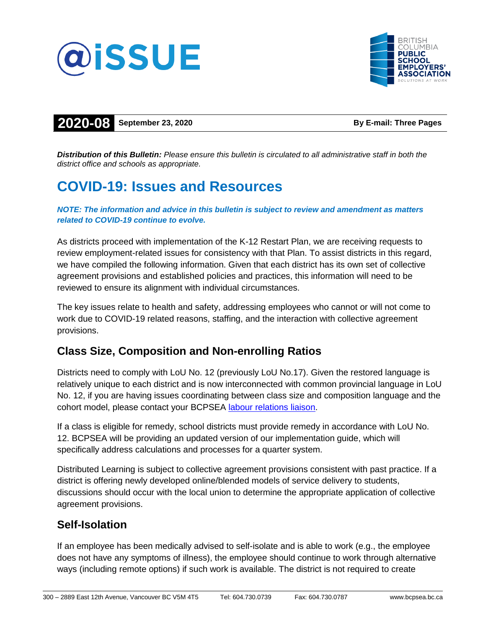



## **2020-08 September 23, 2020 By E-mail: Three Pages**

*Distribution of this Bulletin: Please ensure this bulletin is circulated to all administrative staff in both the district office and schools as appropriate.*

# **COVID-19: Issues and Resources**

#### *NOTE: The information and advice in this bulletin is subject to review and amendment as matters related to COVID-19 continue to evolve.*

As districts proceed with implementation of the K-12 Restart Plan, we are receiving requests to review employment-related issues for consistency with that Plan. To assist districts in this regard, we have compiled the following information. Given that each district has its own set of collective agreement provisions and established policies and practices, this information will need to be reviewed to ensure its alignment with individual circumstances.

The key issues relate to health and safety, addressing employees who cannot or will not come to work due to COVID-19 related reasons, staffing, and the interaction with collective agreement provisions.

### **Class Size, Composition and Non-enrolling Ratios**

Districts need to comply with LoU No. 12 (previously LoU No.17). Given the restored language is relatively unique to each district and is now interconnected with common provincial language in LoU No. 12, if you are having issues coordinating between class size and composition language and the cohort model, please contact your BCPSEA [labour relations](http://bcpsea.bc.ca/about-us/contact-us/bcpsea-staff-district-liaison/) liaison.

If a class is eligible for remedy, school districts must provide remedy in accordance with LoU No. 12. BCPSEA will be providing an updated version of our implementation guide, which will specifically address calculations and processes for a quarter system.

Distributed Learning is subject to collective agreement provisions consistent with past practice. If a district is offering newly developed online/blended models of service delivery to students, discussions should occur with the local union to determine the appropriate application of collective agreement provisions.

#### **Self-Isolation**

If an employee has been medically advised to self-isolate and is able to work (e.g., the employee does not have any symptoms of illness), the employee should continue to work through alternative ways (including remote options) if such work is available. The district is not required to create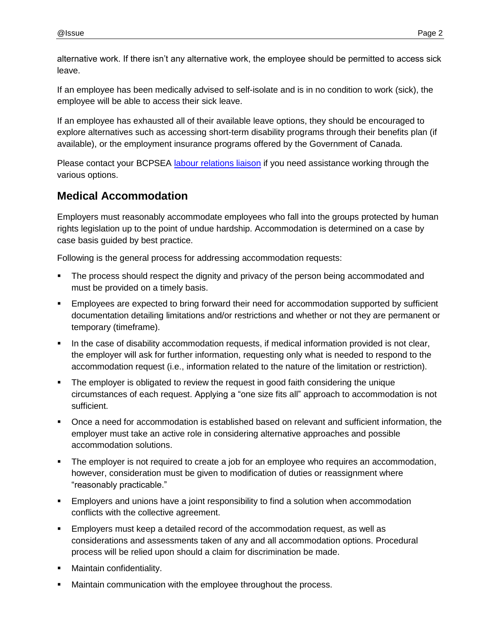alternative work. If there isn't any alternative work, the employee should be permitted to access sick leave.

If an employee has been medically advised to self-isolate and is in no condition to work (sick), the employee will be able to access their sick leave.

If an employee has exhausted all of their available leave options, they should be encouraged to explore alternatives such as accessing short-term disability programs through their benefits plan (if available), or the employment insurance programs offered by the Government of Canada.

Please contact your BCPSEA [labour relations](http://bcpsea.bc.ca/about-us/contact-us/bcpsea-staff-district-liaison/) liaison if you need assistance working through the various options.

### **Medical Accommodation**

Employers must reasonably accommodate employees who fall into the groups protected by human rights legislation up to the point of undue hardship. Accommodation is determined on a case by case basis guided by best practice.

Following is the general process for addressing accommodation requests:

- The process should respect the dignity and privacy of the person being accommodated and must be provided on a timely basis.
- Employees are expected to bring forward their need for accommodation supported by sufficient documentation detailing limitations and/or restrictions and whether or not they are permanent or temporary (timeframe).
- In the case of disability accommodation requests, if medical information provided is not clear, the employer will ask for further information, requesting only what is needed to respond to the accommodation request (i.e., information related to the nature of the limitation or restriction).
- The employer is obligated to review the request in good faith considering the unique circumstances of each request. Applying a "one size fits all" approach to accommodation is not sufficient.
- Once a need for accommodation is established based on relevant and sufficient information, the employer must take an active role in considering alternative approaches and possible accommodation solutions.
- The employer is not required to create a job for an employee who requires an accommodation, however, consideration must be given to modification of duties or reassignment where "reasonably practicable."
- Employers and unions have a joint responsibility to find a solution when accommodation conflicts with the collective agreement.
- Employers must keep a detailed record of the accommodation request, as well as considerations and assessments taken of any and all accommodation options. Procedural process will be relied upon should a claim for discrimination be made.
- Maintain confidentiality.
- Maintain communication with the employee throughout the process.